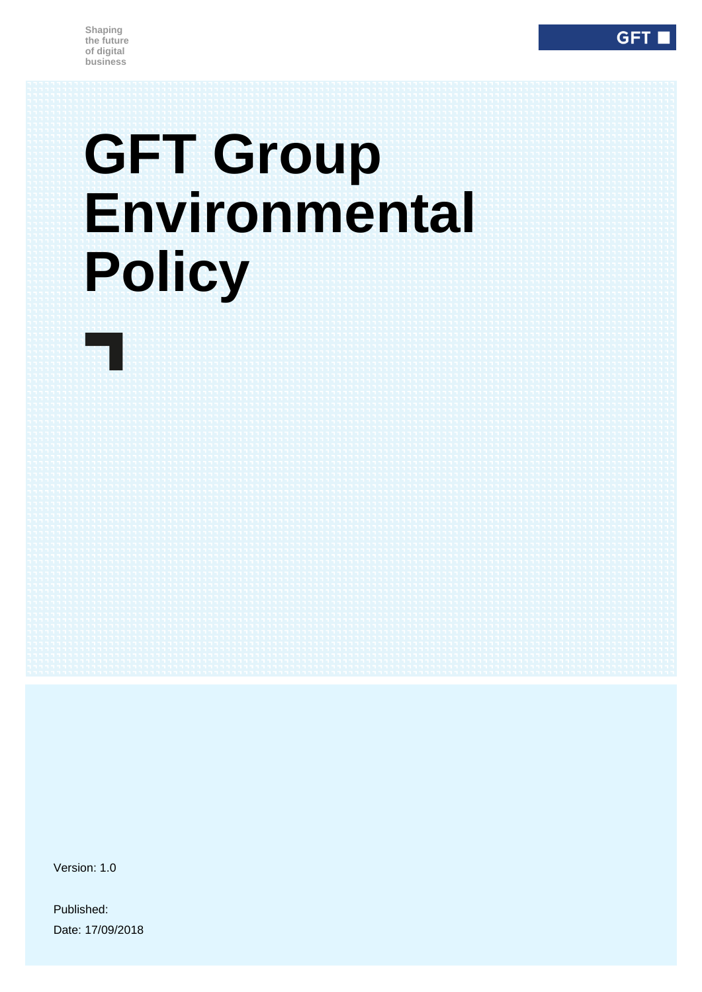# **GFT Group Environmental Policy**

Version: 1.0

Published: Date: 17/09/2018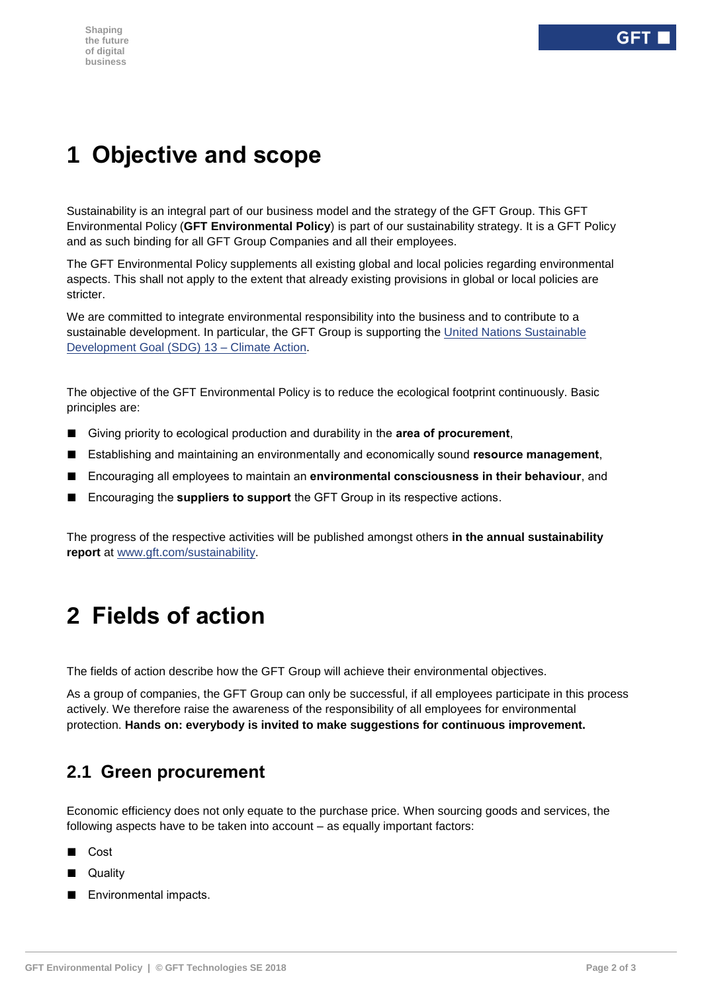# **1 Objective and scope**

Sustainability is an integral part of our business model and the strategy of the GFT Group. This GFT Environmental Policy (**GFT Environmental Policy**) is part of our sustainability strategy. It is a GFT Policy and as such binding for all GFT Group Companies and all their employees.

The GFT Environmental Policy supplements all existing global and local policies regarding environmental aspects. This shall not apply to the extent that already existing provisions in global or local policies are stricter.

We are committed to integrate environmental responsibility into the business and to contribute to a sustainable development. In particular, the GFT Group is supporting the [United Nations Sustainable](https://unstats.un.org/sdgs/report/2017/goal-13/)  [Development Goal \(SDG\) 13 –](https://unstats.un.org/sdgs/report/2017/goal-13/) Climate Action.

The objective of the GFT Environmental Policy is to reduce the ecological footprint continuously. Basic principles are:

- Giving priority to ecological production and durability in the **area of procurement**,
- Establishing and maintaining an environmentally and economically sound **resource management**,
- Encouraging all employees to maintain an **environmental consciousness in their behaviour**, and
- Encouraging the **suppliers to support** the GFT Group in its respective actions.

The progress of the respective activities will be published amongst others **in the annual sustainability report** at [www.gft.com/sustainability.](http://www.gft.com/sustainability)

## **2 Fields of action**

The fields of action describe how the GFT Group will achieve their environmental objectives.

As a group of companies, the GFT Group can only be successful, if all employees participate in this process actively. We therefore raise the awareness of the responsibility of all employees for environmental protection. **Hands on: everybody is invited to make suggestions for continuous improvement.**

## **2.1 Green procurement**

Economic efficiency does not only equate to the purchase price. When sourcing goods and services, the following aspects have to be taken into account – as equally important factors:

- Cost
- Quality
- Environmental impacts.